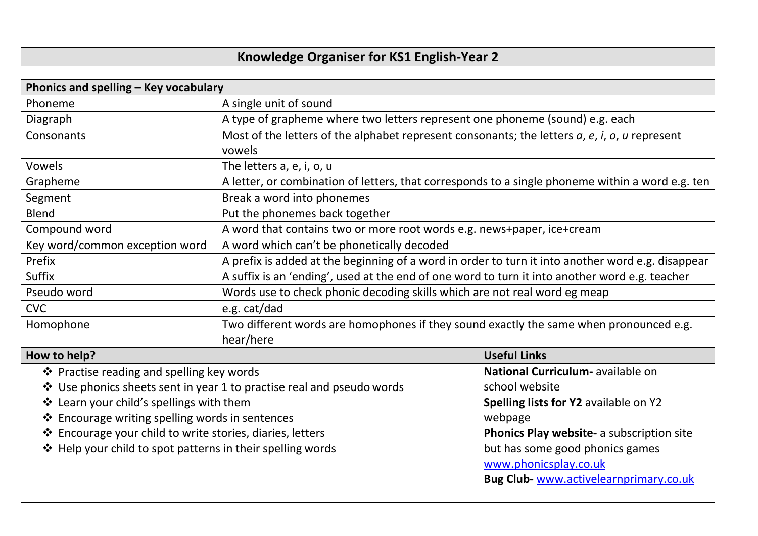## **Knowledge Organiser for KS1 English-Year 2**

| Phonics and spelling - Key vocabulary                                 |                                                                                                             |                                           |  |
|-----------------------------------------------------------------------|-------------------------------------------------------------------------------------------------------------|-------------------------------------------|--|
| Phoneme                                                               | A single unit of sound                                                                                      |                                           |  |
| Diagraph                                                              | A type of grapheme where two letters represent one phoneme (sound) e.g. each                                |                                           |  |
| Consonants                                                            | Most of the letters of the alphabet represent consonants; the letters $a$ , $e$ , $i$ , $o$ , $u$ represent |                                           |  |
|                                                                       | vowels                                                                                                      |                                           |  |
| Vowels                                                                | The letters a, e, i, o, u                                                                                   |                                           |  |
| Grapheme                                                              | A letter, or combination of letters, that corresponds to a single phoneme within a word e.g. ten            |                                           |  |
| Segment                                                               | Break a word into phonemes                                                                                  |                                           |  |
| <b>Blend</b>                                                          | Put the phonemes back together                                                                              |                                           |  |
| Compound word                                                         | A word that contains two or more root words e.g. news+paper, ice+cream                                      |                                           |  |
| Key word/common exception word                                        | A word which can't be phonetically decoded                                                                  |                                           |  |
| Prefix                                                                | A prefix is added at the beginning of a word in order to turn it into another word e.g. disappear           |                                           |  |
| Suffix                                                                | A suffix is an 'ending', used at the end of one word to turn it into another word e.g. teacher              |                                           |  |
| Pseudo word                                                           | Words use to check phonic decoding skills which are not real word eg meap                                   |                                           |  |
| <b>CVC</b>                                                            | e.g. cat/dad                                                                                                |                                           |  |
| Homophone                                                             | Two different words are homophones if they sound exactly the same when pronounced e.g.                      |                                           |  |
|                                                                       | hear/here                                                                                                   |                                           |  |
| How to help?                                                          |                                                                                                             | <b>Useful Links</b>                       |  |
| ❖ Practise reading and spelling key words                             |                                                                                                             | National Curriculum- available on         |  |
| ❖ Use phonics sheets sent in year 1 to practise real and pseudo words |                                                                                                             | school website                            |  |
| ❖ Learn your child's spellings with them                              |                                                                                                             | Spelling lists for Y2 available on Y2     |  |
| ❖ Encourage writing spelling words in sentences                       |                                                                                                             | webpage                                   |  |
| ❖ Encourage your child to write stories, diaries, letters             |                                                                                                             | Phonics Play website- a subscription site |  |
| ❖ Help your child to spot patterns in their spelling words            |                                                                                                             | but has some good phonics games           |  |
|                                                                       |                                                                                                             | www.phonicsplay.co.uk                     |  |
|                                                                       |                                                                                                             | Bug Club- www.activelearnprimary.co.uk    |  |
|                                                                       |                                                                                                             |                                           |  |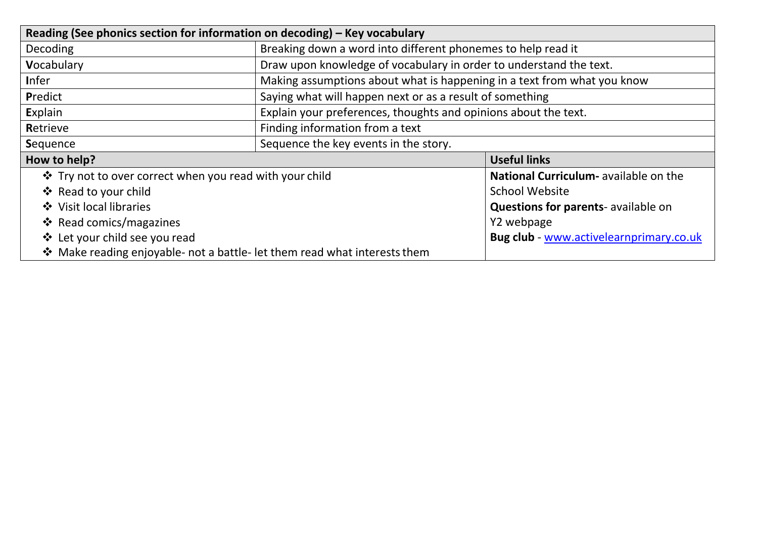| Reading (See phonics section for information on decoding) - Key vocabulary |                                                                         |                                            |  |  |
|----------------------------------------------------------------------------|-------------------------------------------------------------------------|--------------------------------------------|--|--|
| Decoding                                                                   | Breaking down a word into different phonemes to help read it            |                                            |  |  |
| Vocabulary                                                                 | Draw upon knowledge of vocabulary in order to understand the text.      |                                            |  |  |
| <b>Infer</b>                                                               | Making assumptions about what is happening in a text from what you know |                                            |  |  |
| Predict                                                                    | Saying what will happen next or as a result of something                |                                            |  |  |
| Explain                                                                    | Explain your preferences, thoughts and opinions about the text.         |                                            |  |  |
| Retrieve                                                                   | Finding information from a text                                         |                                            |  |  |
| Sequence                                                                   | Sequence the key events in the story.                                   |                                            |  |  |
| How to help?                                                               |                                                                         | <b>Useful links</b>                        |  |  |
| ❖ Try not to over correct when you read with your child                    |                                                                         | National Curriculum- available on the      |  |  |
| ❖ Read to your child                                                       |                                                                         | <b>School Website</b>                      |  |  |
| ❖ Visit local libraries                                                    |                                                                         | <b>Questions for parents-</b> available on |  |  |
| <b>❖</b> Read comics/magazines                                             |                                                                         | Y2 webpage                                 |  |  |
| ❖ Let your child see you read                                              |                                                                         | Bug club - www.activelearnprimary.co.uk    |  |  |
| ❖ Make reading enjoyable- not a battle- let them read what interests them  |                                                                         |                                            |  |  |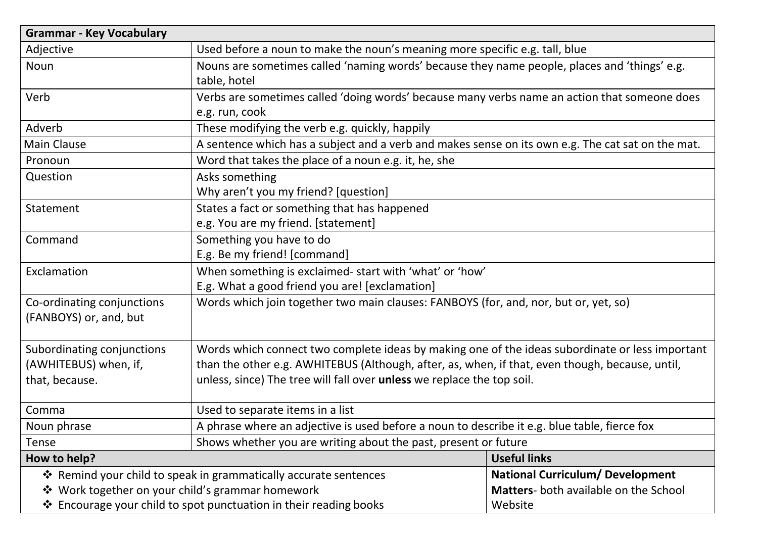| <b>Grammar - Key Vocabulary</b>                                   |                                                                                                                |                                         |  |
|-------------------------------------------------------------------|----------------------------------------------------------------------------------------------------------------|-----------------------------------------|--|
| Adjective                                                         | Used before a noun to make the noun's meaning more specific e.g. tall, blue                                    |                                         |  |
| Noun                                                              | Nouns are sometimes called 'naming words' because they name people, places and 'things' e.g.<br>table, hotel   |                                         |  |
| Verb                                                              | Verbs are sometimes called 'doing words' because many verbs name an action that someone does<br>e.g. run, cook |                                         |  |
| Adverb                                                            | These modifying the verb e.g. quickly, happily                                                                 |                                         |  |
| <b>Main Clause</b>                                                | A sentence which has a subject and a verb and makes sense on its own e.g. The cat sat on the mat.              |                                         |  |
| Pronoun                                                           | Word that takes the place of a noun e.g. it, he, she                                                           |                                         |  |
| Question                                                          | Asks something<br>Why aren't you my friend? [question]                                                         |                                         |  |
| Statement                                                         | States a fact or something that has happened<br>e.g. You are my friend. [statement]                            |                                         |  |
| Command                                                           | Something you have to do<br>E.g. Be my friend! [command]                                                       |                                         |  |
| Exclamation                                                       | When something is exclaimed- start with 'what' or 'how'<br>E.g. What a good friend you are! [exclamation]      |                                         |  |
| Co-ordinating conjunctions<br>(FANBOYS) or, and, but              | Words which join together two main clauses: FANBOYS (for, and, nor, but or, yet, so)                           |                                         |  |
| Subordinating conjunctions                                        | Words which connect two complete ideas by making one of the ideas subordinate or less important                |                                         |  |
| (AWHITEBUS) when, if,                                             | than the other e.g. AWHITEBUS (Although, after, as, when, if that, even though, because, until,                |                                         |  |
| that, because.                                                    | unless, since) The tree will fall over unless we replace the top soil.                                         |                                         |  |
| Comma                                                             | Used to separate items in a list                                                                               |                                         |  |
| Noun phrase                                                       | A phrase where an adjective is used before a noun to describe it e.g. blue table, fierce fox                   |                                         |  |
| Tense                                                             | Shows whether you are writing about the past, present or future                                                |                                         |  |
| How to help?                                                      |                                                                                                                | <b>Useful links</b>                     |  |
| ❖ Remind your child to speak in grammatically accurate sentences  |                                                                                                                | <b>National Curriculum/ Development</b> |  |
| ❖ Work together on your child's grammar homework                  |                                                                                                                | Matters- both available on the School   |  |
| ❖ Encourage your child to spot punctuation in their reading books |                                                                                                                | Website                                 |  |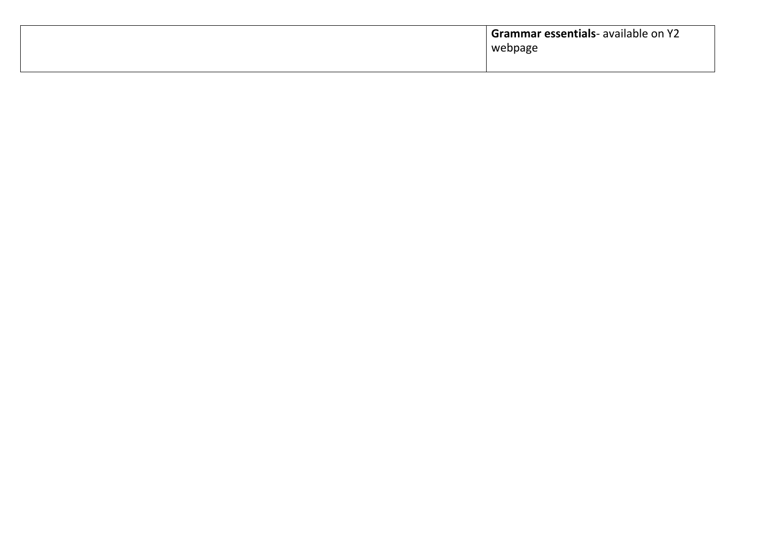| <b>Grammar essentials-</b> available on Y2<br>webpage |
|-------------------------------------------------------|
|                                                       |